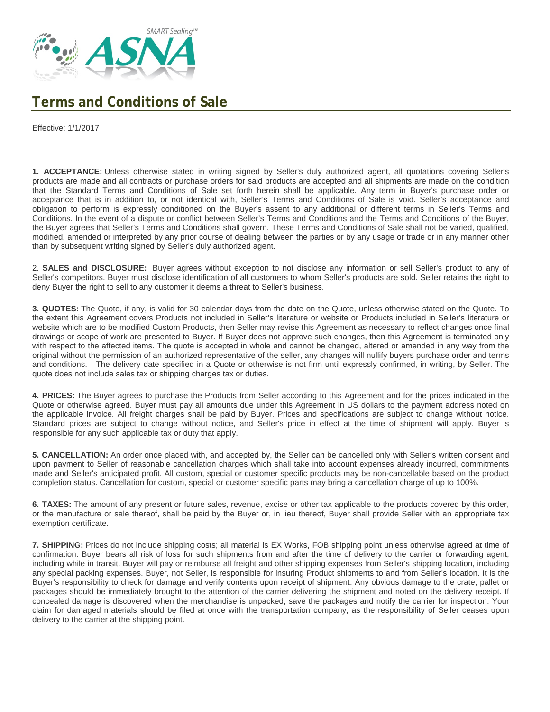

## **Terms and Conditions of Sale**

Effective: 1/1/2017

**1. ACCEPTANCE:** Unless otherwise stated in writing signed by Seller's duly authorized agent, all quotations covering Seller's products are made and all contracts or purchase orders for said products are accepted and all shipments are made on the condition that the Standard Terms and Conditions of Sale set forth herein shall be applicable. Any term in Buyer's purchase order or acceptance that is in addition to, or not identical with, Seller's Terms and Conditions of Sale is void. Seller's acceptance and obligation to perform is expressly conditioned on the Buyer's assent to any additional or different terms in Seller's Terms and Conditions. In the event of a dispute or conflict between Seller's Terms and Conditions and the Terms and Conditions of the Buyer, the Buyer agrees that Seller's Terms and Conditions shall govern. These Terms and Conditions of Sale shall not be varied, qualified, modified, amended or interpreted by any prior course of dealing between the parties or by any usage or trade or in any manner other than by subsequent writing signed by Seller's duly authorized agent.

2. **SALES and DISCLOSURE:** Buyer agrees without exception to not disclose any information or sell Seller's product to any of Seller's competitors. Buyer must disclose identification of all customers to whom Seller's products are sold. Seller retains the right to deny Buyer the right to sell to any customer it deems a threat to Seller's business.

**3. QUOTES:** The Quote, if any, is valid for 30 calendar days from the date on the Quote, unless otherwise stated on the Quote. To the extent this Agreement covers Products not included in Seller's literature or website or Products included in Seller's literature or website which are to be modified Custom Products, then Seller may revise this Agreement as necessary to reflect changes once final drawings or scope of work are presented to Buyer. If Buyer does not approve such changes, then this Agreement is terminated only with respect to the affected items. The quote is accepted in whole and cannot be changed, altered or amended in any way from the original without the permission of an authorized representative of the seller, any changes will nullify buyers purchase order and terms and conditions. The delivery date specified in a Quote or otherwise is not firm until expressly confirmed, in writing, by Seller. The quote does not include sales tax or shipping charges tax or duties.

**4. PRICES:** The Buyer agrees to purchase the Products from Seller according to this Agreement and for the prices indicated in the Quote or otherwise agreed. Buyer must pay all amounts due under this Agreement in US dollars to the payment address noted on the applicable invoice. All freight charges shall be paid by Buyer. Prices and specifications are subject to change without notice. Standard prices are subject to change without notice, and Seller's price in effect at the time of shipment will apply. Buyer is responsible for any such applicable tax or duty that apply.

**5. CANCELLATION:** An order once placed with, and accepted by, the Seller can be cancelled only with Seller's written consent and upon payment to Seller of reasonable cancellation charges which shall take into account expenses already incurred, commitments made and Seller's anticipated profit. All custom, special or customer specific products may be non-cancellable based on the product completion status. Cancellation for custom, special or customer specific parts may bring a cancellation charge of up to 100%.

**6. TAXES:** The amount of any present or future sales, revenue, excise or other tax applicable to the products covered by this order, or the manufacture or sale thereof, shall be paid by the Buyer or, in lieu thereof, Buyer shall provide Seller with an appropriate tax exemption certificate.

**7. SHIPPING:** Prices do not include shipping costs; all material is EX Works, FOB shipping point unless otherwise agreed at time of confirmation. Buyer bears all risk of loss for such shipments from and after the time of delivery to the carrier or forwarding agent, including while in transit. Buyer will pay or reimburse all freight and other shipping expenses from Seller's shipping location, including any special packing expenses. Buyer, not Seller, is responsible for insuring Product shipments to and from Seller's location. It is the Buyer's responsibility to check for damage and verify contents upon receipt of shipment. Any obvious damage to the crate, pallet or packages should be immediately brought to the attention of the carrier delivering the shipment and noted on the delivery receipt. If concealed damage is discovered when the merchandise is unpacked, save the packages and notify the carrier for inspection. Your claim for damaged materials should be filed at once with the transportation company, as the responsibility of Seller ceases upon delivery to the carrier at the shipping point.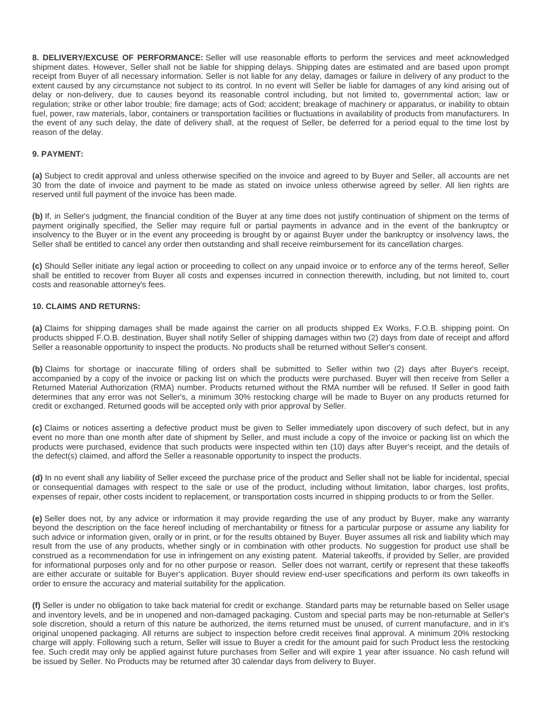**8. DELIVERY/EXCUSE OF PERFORMANCE:** Seller will use reasonable efforts to perform the services and meet acknowledged shipment dates. However, Seller shall not be liable for shipping delays. Shipping dates are estimated and are based upon prompt receipt from Buyer of all necessary information. Seller is not liable for any delay, damages or failure in delivery of any product to the extent caused by any circumstance not subject to its control. In no event will Seller be liable for damages of any kind arising out of delay or non-delivery, due to causes beyond its reasonable control including, but not limited to, governmental action; law or regulation; strike or other labor trouble; fire damage; acts of God; accident; breakage of machinery or apparatus, or inability to obtain fuel, power, raw materials, labor, containers or transportation facilities or fluctuations in availability of products from manufacturers. In the event of any such delay, the date of delivery shall, at the request of Seller, be deferred for a period equal to the time lost by reason of the delay.

## **9. PAYMENT:**

**(a)** Subject to credit approval and unless otherwise specified on the invoice and agreed to by Buyer and Seller, all accounts are net 30 from the date of invoice and payment to be made as stated on invoice unless otherwise agreed by seller. All lien rights are reserved until full payment of the invoice has been made.

**(b)** If, in Seller's judgment, the financial condition of the Buyer at any time does not justify continuation of shipment on the terms of payment originally specified, the Seller may require full or partial payments in advance and in the event of the bankruptcy or insolvency to the Buyer or in the event any proceeding is brought by or against Buyer under the bankruptcy or insolvency laws, the Seller shall be entitled to cancel any order then outstanding and shall receive reimbursement for its cancellation charges.

**(c)** Should Seller initiate any legal action or proceeding to collect on any unpaid invoice or to enforce any of the terms hereof, Seller shall be entitled to recover from Buyer all costs and expenses incurred in connection therewith, including, but not limited to, court costs and reasonable attorney's fees.

## **10. CLAIMS AND RETURNS:**

**(a)** Claims for shipping damages shall be made against the carrier on all products shipped Ex Works, F.O.B. shipping point. On products shipped F.O.B. destination, Buyer shall notify Seller of shipping damages within two (2) days from date of receipt and afford Seller a reasonable opportunity to inspect the products. No products shall be returned without Seller's consent.

**(b)** Claims for shortage or inaccurate filling of orders shall be submitted to Seller within two (2) days after Buyer's receipt, accompanied by a copy of the invoice or packing list on which the products were purchased. Buyer will then receive from Seller a Returned Material Authorization (RMA) number. Products returned without the RMA number will be refused. If Seller in good faith determines that any error was not Seller's, a minimum 30% restocking charge will be made to Buyer on any products returned for credit or exchanged. Returned goods will be accepted only with prior approval by Seller.

**(c)** Claims or notices asserting a defective product must be given to Seller immediately upon discovery of such defect, but in any event no more than one month after date of shipment by Seller, and must include a copy of the invoice or packing list on which the products were purchased, evidence that such products were inspected within ten (10) days after Buyer's receipt, and the details of the defect(s) claimed, and afford the Seller a reasonable opportunity to inspect the products.

**(d)** In no event shall any liability of Seller exceed the purchase price of the product and Seller shall not be liable for incidental, special or consequential damages with respect to the sale or use of the product, including without limitation, labor charges, lost profits, expenses of repair, other costs incident to replacement, or transportation costs incurred in shipping products to or from the Seller.

**(e)** Seller does not, by any advice or information it may provide regarding the use of any product by Buyer, make any warranty beyond the description on the face hereof including of merchantability or fitness for a particular purpose or assume any liability for such advice or information given, orally or in print, or for the results obtained by Buyer. Buyer assumes all risk and liability which may result from the use of any products, whether singly or in combination with other products. No suggestion for product use shall be construed as a recommendation for use in infringement on any existing patent. Material takeoffs, if provided by Seller, are provided for informational purposes only and for no other purpose or reason. Seller does not warrant, certify or represent that these takeoffs are either accurate or suitable for Buyer's application. Buyer should review end-user specifications and perform its own takeoffs in order to ensure the accuracy and material suitability for the application.

**(f)** Seller is under no obligation to take back material for credit or exchange. Standard parts may be returnable based on Seller usage and inventory levels, and be in unopened and non-damaged packaging. Custom and special parts may be non-returnable at Seller's sole discretion, should a return of this nature be authorized, the items returned must be unused, of current manufacture, and in it's original unopened packaging. All returns are subject to inspection before credit receives final approval. A minimum 20% restocking charge will apply. Following such a return, Seller will issue to Buyer a credit for the amount paid for such Product less the restocking fee. Such credit may only be applied against future purchases from Seller and will expire 1 year after issuance. No cash refund will be issued by Seller. No Products may be returned after 30 calendar days from delivery to Buyer.